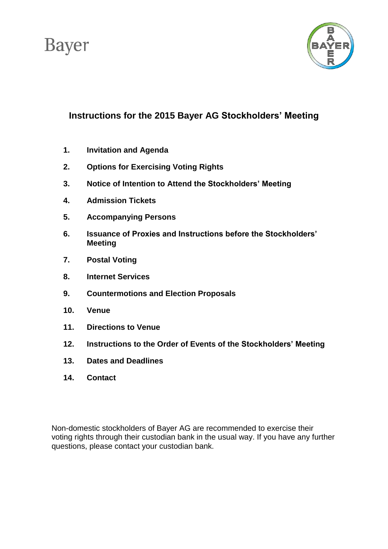# **Bayer**



# **Instructions for the 2015 Bayer AG Stockholders' Meeting**

- **1. Invitation and Agenda**
- **2. Options for Exercising Voting Rights**
- **3. Notice of Intention to Attend the Stockholders' Meeting**
- **4. Admission Tickets**
- **5. Accompanying Persons**
- **6. Issuance of Proxies and Instructions before the Stockholders' Meeting**
- **7. Postal Voting**
- **8. Internet Services**
- **9. Countermotions and Election Proposals**
- **10. Venue**
- **11. Directions to Venue**
- **12. Instructions to the Order of Events of the Stockholders' Meeting**
- **13. Dates and Deadlines**
- **14. Contact**

Non-domestic stockholders of Bayer AG are recommended to exercise their voting rights through their custodian bank in the usual way. If you have any further questions, please contact your custodian bank.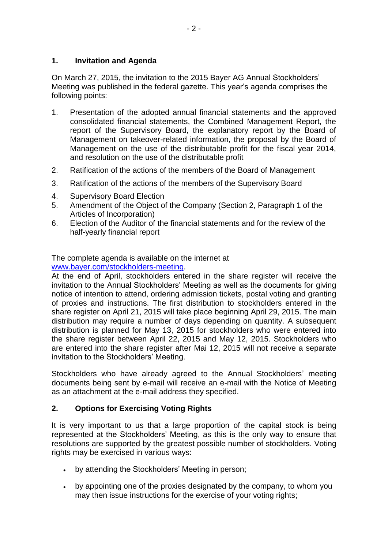### **1. Invitation and Agenda**

On March 27, 2015, the invitation to the 2015 Bayer AG Annual Stockholders' Meeting was published in the federal gazette. This year's agenda comprises the following points:

- 1. Presentation of the adopted annual financial statements and the approved consolidated financial statements, the Combined Management Report, the report of the Supervisory Board, the explanatory report by the Board of Management on takeover-related information, the proposal by the Board of Management on the use of the distributable profit for the fiscal year 2014, and resolution on the use of the distributable profit
- 2. Ratification of the actions of the members of the Board of Management
- 3. Ratification of the actions of the members of the Supervisory Board
- 4. Supervisory Board Election
- 5. Amendment of the Object of the Company (Section 2, Paragraph 1 of the Articles of Incorporation)
- 6. Election of the Auditor of the financial statements and for the review of the half-yearly financial report

### The complete agenda is available on the internet at

[www.bayer.com/stockholders-meeting.](http://www.bayer.com/stockholders-meeting)

At the end of April, stockholders entered in the share register will receive the invitation to the Annual Stockholders' Meeting as well as the documents for giving notice of intention to attend, ordering admission tickets, postal voting and granting of proxies and instructions. The first distribution to stockholders entered in the share register on April 21, 2015 will take place beginning April 29, 2015. The main distribution may require a number of days depending on quantity. A subsequent distribution is planned for May 13, 2015 for stockholders who were entered into the share register between April 22, 2015 and May 12, 2015. Stockholders who are entered into the share register after Mai 12, 2015 will not receive a separate invitation to the Stockholders' Meeting.

Stockholders who have already agreed to the Annual Stockholders' meeting documents being sent by e-mail will receive an e-mail with the Notice of Meeting as an attachment at the e-mail address they specified.

# **2. Options for Exercising Voting Rights**

It is very important to us that a large proportion of the capital stock is being represented at the Stockholders' Meeting, as this is the only way to ensure that resolutions are supported by the greatest possible number of stockholders. Voting rights may be exercised in various ways:

- by attending the Stockholders' Meeting in person;
- by appointing one of the proxies designated by the company, to whom you may then issue instructions for the exercise of your voting rights;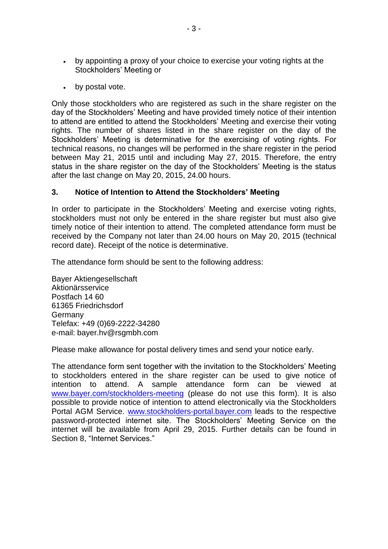- by appointing a proxy of your choice to exercise your voting rights at the Stockholders' Meeting or
- by postal vote.

Only those stockholders who are registered as such in the share register on the day of the Stockholders' Meeting and have provided timely notice of their intention to attend are entitled to attend the Stockholders' Meeting and exercise their voting rights. The number of shares listed in the share register on the day of the Stockholders' Meeting is determinative for the exercising of voting rights. For technical reasons, no changes will be performed in the share register in the period between May 21, 2015 until and including May 27, 2015. Therefore, the entry status in the share register on the day of the Stockholders' Meeting is the status after the last change on May 20, 2015, 24.00 hours.

### **3. Notice of Intention to Attend the Stockholders' Meeting**

In order to participate in the Stockholders' Meeting and exercise voting rights, stockholders must not only be entered in the share register but must also give timely notice of their intention to attend. The completed attendance form must be received by the Company not later than 24.00 hours on May 20, 2015 (technical record date). Receipt of the notice is determinative.

The attendance form should be sent to the following address:

Bayer Aktiengesellschaft Aktionärsservice Postfach 14 60 61365 Friedrichsdorf Germany Telefax: +49 (0)69-2222-34280 e-mail: bayer.hv@rsgmbh.com

Please make allowance for postal delivery times and send your notice early.

The attendance form sent together with the invitation to the Stockholders' Meeting to stockholders entered in the share register can be used to give notice of intention to attend. A sample attendance form can be viewed at [www.bayer.com/stockholders-meeting](http://www.bayer.com/stockholders-meeting) (please do not use this form). It is also possible to provide notice of intention to attend electronically via the Stockholders Portal AGM Service. [www.stockholders-portal.bayer.com](http://www.stockholders-portal.bayer.com/) leads to the respective password-protected internet site. The Stockholders' Meeting Service on the internet will be available from April 29, 2015. Further details can be found in Section 8, "Internet Services."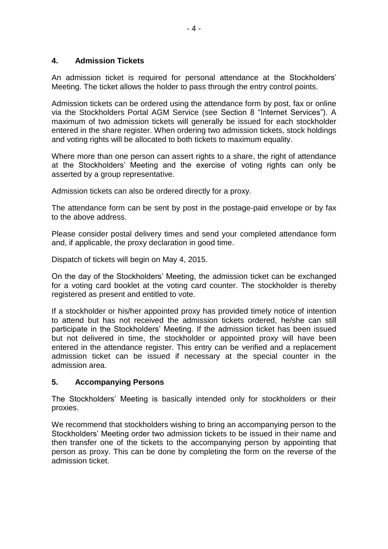### **4. Admission Tickets**

An admission ticket is required for personal attendance at the Stockholders' Meeting. The ticket allows the holder to pass through the entry control points.

Admission tickets can be ordered using the attendance form by post, fax or online via the Stockholders Portal AGM Service (see Section 8 "Internet Services"). A maximum of two admission tickets will generally be issued for each stockholder entered in the share register. When ordering two admission tickets, stock holdings and voting rights will be allocated to both tickets to maximum equality.

Where more than one person can assert rights to a share, the right of attendance at the Stockholders' Meeting and the exercise of voting rights can only be asserted by a group representative.

Admission tickets can also be ordered directly for a proxy.

The attendance form can be sent by post in the postage-paid envelope or by fax to the above address.

Please consider postal delivery times and send your completed attendance form and, if applicable, the proxy declaration in good time.

Dispatch of tickets will begin on May 4, 2015.

On the day of the Stockholders' Meeting, the admission ticket can be exchanged for a voting card booklet at the voting card counter. The stockholder is thereby registered as present and entitled to vote.

If a stockholder or his/her appointed proxy has provided timely notice of intention to attend but has not received the admission tickets ordered, he/she can still participate in the Stockholders' Meeting. If the admission ticket has been issued but not delivered in time, the stockholder or appointed proxy will have been entered in the attendance register. This entry can be verified and a replacement admission ticket can be issued if necessary at the special counter in the admission area.

#### **5. Accompanying Persons**

The Stockholders' Meeting is basically intended only for stockholders or their proxies.

We recommend that stockholders wishing to bring an accompanying person to the Stockholders' Meeting order two admission tickets to be issued in their name and then transfer one of the tickets to the accompanying person by appointing that person as proxy. This can be done by completing the form on the reverse of the admission ticket.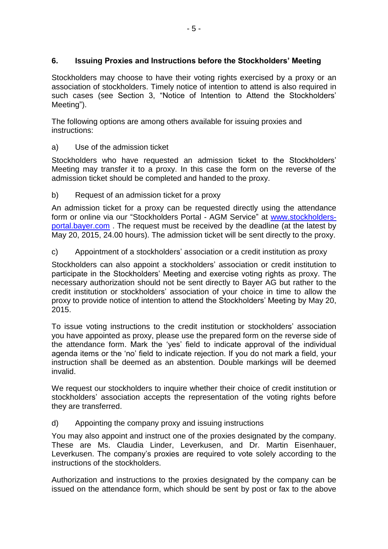# **6. Issuing Proxies and Instructions before the Stockholders' Meeting**

Stockholders may choose to have their voting rights exercised by a proxy or an association of stockholders. Timely notice of intention to attend is also required in such cases (see Section 3, "Notice of Intention to Attend the Stockholders' Meeting").

The following options are among others available for issuing proxies and instructions:

a) Use of the admission ticket

Stockholders who have requested an admission ticket to the Stockholders' Meeting may transfer it to a proxy. In this case the form on the reverse of the admission ticket should be completed and handed to the proxy.

b) Request of an admission ticket for a proxy

An admission ticket for a proxy can be requested directly using the attendance form or online via our "Stockholders Portal - AGM Service" at [www.stockholders](http://www.stockholders-portal.bayer.com/)[portal.bayer.com](http://www.stockholders-portal.bayer.com/) . The request must be received by the deadline (at the latest by May 20, 2015, 24.00 hours). The admission ticket will be sent directly to the proxy.

c) Appointment of a stockholders' association or a credit institution as proxy

Stockholders can also appoint a stockholders' association or credit institution to participate in the Stockholders' Meeting and exercise voting rights as proxy. The necessary authorization should not be sent directly to Bayer AG but rather to the credit institution or stockholders' association of your choice in time to allow the proxy to provide notice of intention to attend the Stockholders' Meeting by May 20, 2015.

To issue voting instructions to the credit institution or stockholders' association you have appointed as proxy, please use the prepared form on the reverse side of the attendance form. Mark the 'yes' field to indicate approval of the individual agenda items or the 'no' field to indicate rejection. If you do not mark a field, your instruction shall be deemed as an abstention. Double markings will be deemed invalid.

We request our stockholders to inquire whether their choice of credit institution or stockholders' association accepts the representation of the voting rights before they are transferred.

d) Appointing the company proxy and issuing instructions

You may also appoint and instruct one of the proxies designated by the company. These are Ms. Claudia Linder, Leverkusen, and Dr. Martin Eisenhauer, Leverkusen. The company's proxies are required to vote solely according to the instructions of the stockholders.

Authorization and instructions to the proxies designated by the company can be issued on the attendance form, which should be sent by post or fax to the above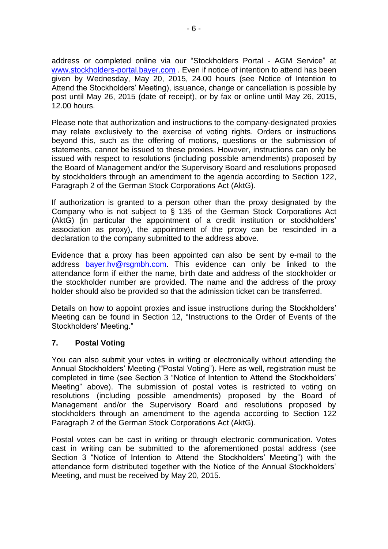address or completed online via our "Stockholders Portal - AGM Service" at [www.stockholders-portal.bayer.com](http://www.stockholders-portal.bayer.com/). Even if notice of intention to attend has been given by Wednesday, May 20, 2015, 24.00 hours (see Notice of Intention to Attend the Stockholders' Meeting), issuance, change or cancellation is possible by post until May 26, 2015 (date of receipt), or by fax or online until May 26, 2015, 12.00 hours.

Please note that authorization and instructions to the company-designated proxies may relate exclusively to the exercise of voting rights. Orders or instructions beyond this, such as the offering of motions, questions or the submission of statements, cannot be issued to these proxies. However, instructions can only be issued with respect to resolutions (including possible amendments) proposed by the Board of Management and/or the Supervisory Board and resolutions proposed by stockholders through an amendment to the agenda according to Section 122, Paragraph 2 of the German Stock Corporations Act (AktG).

If authorization is granted to a person other than the proxy designated by the Company who is not subject to § 135 of the German Stock Corporations Act (AktG) (in particular the appointment of a credit institution or stockholders' association as proxy), the appointment of the proxy can be rescinded in a declaration to the company submitted to the address above.

Evidence that a proxy has been appointed can also be sent by e-mail to the address [bayer.hv@rsgmbh.com.](mailto:bayer.hv@rsgmbh.com) This evidence can only be linked to the attendance form if either the name, birth date and address of the stockholder or the stockholder number are provided. The name and the address of the proxy holder should also be provided so that the admission ticket can be transferred.

Details on how to appoint proxies and issue instructions during the Stockholders' Meeting can be found in Section 12, "Instructions to the Order of Events of the Stockholders' Meeting."

#### **7. Postal Voting**

You can also submit your votes in writing or electronically without attending the Annual Stockholders' Meeting ("Postal Voting"). Here as well, registration must be completed in time (see Section 3 "Notice of Intention to Attend the Stockholders' Meeting" above). The submission of postal votes is restricted to voting on resolutions (including possible amendments) proposed by the Board of Management and/or the Supervisory Board and resolutions proposed by stockholders through an amendment to the agenda according to Section 122 Paragraph 2 of the German Stock Corporations Act (AktG).

Postal votes can be cast in writing or through electronic communication. Votes cast in writing can be submitted to the aforementioned postal address (see Section 3 "Notice of Intention to Attend the Stockholders' Meeting") with the attendance form distributed together with the Notice of the Annual Stockholders' Meeting, and must be received by May 20, 2015.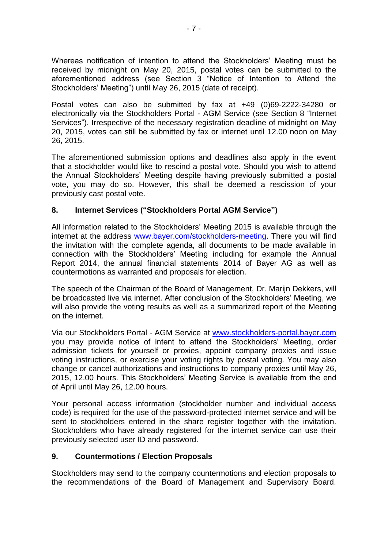Whereas notification of intention to attend the Stockholders' Meeting must be received by midnight on May 20, 2015, postal votes can be submitted to the aforementioned address (see Section 3 "Notice of Intention to Attend the Stockholders' Meeting") until May 26, 2015 (date of receipt).

Postal votes can also be submitted by fax at +49 (0)69-2222-34280 or electronically via the Stockholders Portal - AGM Service (see Section 8 "Internet Services"). Irrespective of the necessary registration deadline of midnight on May 20, 2015, votes can still be submitted by fax or internet until 12.00 noon on May 26, 2015.

The aforementioned submission options and deadlines also apply in the event that a stockholder would like to rescind a postal vote. Should you wish to attend the Annual Stockholders' Meeting despite having previously submitted a postal vote, you may do so. However, this shall be deemed a rescission of your previously cast postal vote.

# **8. Internet Services ("Stockholders Portal AGM Service")**

All information related to the Stockholders' Meeting 2015 is available through the internet at the address [www.bayer.com/stockholders-meeting.](http://www.bayer.com/stockholders-meeting) There you will find the invitation with the complete agenda, all documents to be made available in connection with the Stockholders' Meeting including for example the Annual Report 2014, the annual financial statements 2014 of Bayer AG as well as countermotions as warranted and proposals for election.

The speech of the Chairman of the Board of Management, Dr. Marijn Dekkers, will be broadcasted live via internet. After conclusion of the Stockholders' Meeting, we will also provide the voting results as well as a summarized report of the Meeting on the internet.

Via our Stockholders Portal - AGM Service at [www.stockholders-portal.bayer.com](http://www.stockholders-portal.bayer.com/) you may provide notice of intent to attend the Stockholders' Meeting, order admission tickets for yourself or proxies, appoint company proxies and issue voting instructions, or exercise your voting rights by postal voting. You may also change or cancel authorizations and instructions to company proxies until May 26, 2015, 12.00 hours. This Stockholders' Meeting Service is available from the end of April until May 26, 12.00 hours.

Your personal access information (stockholder number and individual access code) is required for the use of the password-protected internet service and will be sent to stockholders entered in the share register together with the invitation. Stockholders who have already registered for the internet service can use their previously selected user ID and password.

# **9. Countermotions / Election Proposals**

Stockholders may send to the company countermotions and election proposals to the recommendations of the Board of Management and Supervisory Board.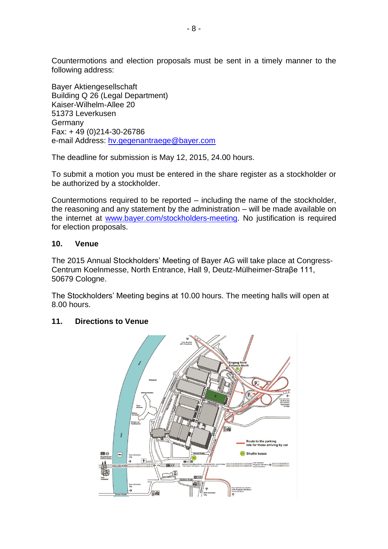Countermotions and election proposals must be sent in a timely manner to the following address:

Bayer Aktiengesellschaft Building Q 26 (Legal Department) Kaiser-Wilhelm-Allee 20 51373 Leverkusen Germany Fax: + 49 (0)214-30-26786 e-mail Address: [hv.gegenantraege@bayer.com](mailto:hv.gegenantraege@bayer.com)

The deadline for submission is May 12, 2015, 24.00 hours.

To submit a motion you must be entered in the share register as a stockholder or be authorized by a stockholder.

Countermotions required to be reported – including the name of the stockholder, the reasoning and any statement by the administration – will be made available on the internet at [www.bayer.com/stockholders-meeting.](http://www.bayer.com/stockholders-meeting) No justification is required for election proposals.

#### **10. Venue**

The 2015 Annual Stockholders' Meeting of Bayer AG will take place at Congress-Centrum Koelnmesse, North Entrance, Hall 9, Deutz-Mülheimer-Straβe 111, 50679 Cologne.

The Stockholders' Meeting begins at 10.00 hours. The meeting halls will open at 8.00 hours.

#### **11. Directions to Venue**

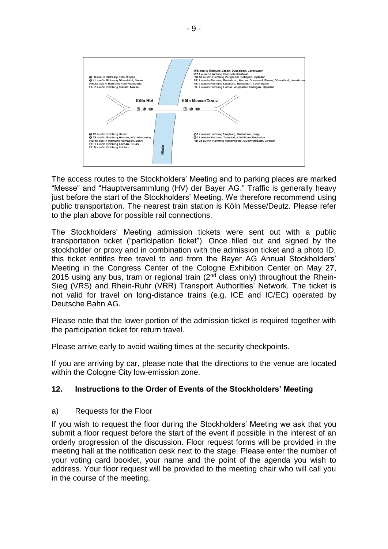

The access routes to the Stockholders' Meeting and to parking places are marked "Messe" and "Hauptversammlung (HV) der Bayer AG." Traffic is generally heavy just before the start of the Stockholders' Meeting. We therefore recommend using public transportation. The nearest train station is Köln Messe/Deutz. Please refer to the plan above for possible rail connections.

The Stockholders' Meeting admission tickets were sent out with a public transportation ticket ("participation ticket"). Once filled out and signed by the stockholder or proxy and in combination with the admission ticket and a photo ID, this ticket entitles free travel to and from the Bayer AG Annual Stockholders' Meeting in the Congress Center of the Cologne Exhibition Center on May 27, 2015 using any bus, tram or regional train ( $2<sup>nd</sup>$  class only) throughout the Rhein-Sieg (VRS) and Rhein-Ruhr (VRR) Transport Authorities' Network. The ticket is not valid for travel on long-distance trains (e.g. ICE and IC/EC) operated by Deutsche Bahn AG.

Please note that the lower portion of the admission ticket is required together with the participation ticket for return travel.

Please arrive early to avoid waiting times at the security checkpoints.

If you are arriving by car, please note that the directions to the venue are located within the Cologne City low-emission zone.

#### **12. Instructions to the Order of Events of the Stockholders' Meeting**

a) Requests for the Floor

If you wish to request the floor during the Stockholders' Meeting we ask that you submit a floor request before the start of the event if possible in the interest of an orderly progression of the discussion. Floor request forms will be provided in the meeting hall at the notification desk next to the stage. Please enter the number of your voting card booklet, your name and the point of the agenda you wish to address. Your floor request will be provided to the meeting chair who will call you in the course of the meeting.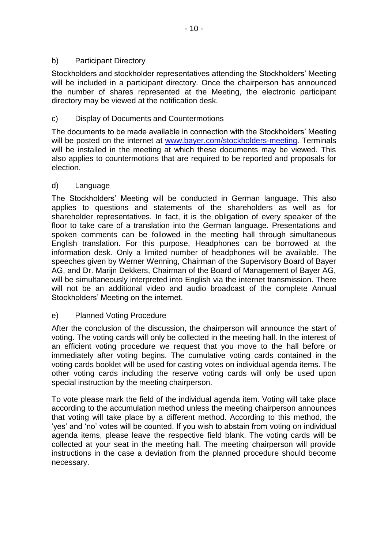Stockholders and stockholder representatives attending the Stockholders' Meeting will be included in a participant directory. Once the chairperson has announced the number of shares represented at the Meeting, the electronic participant directory may be viewed at the notification desk.

# c) Display of Documents and Countermotions

The documents to be made available in connection with the Stockholders' Meeting will be posted on the internet at [www.bayer.com/stockholders-meeting.](http://www.bayer.com/stockholders-meeting) Terminals will be installed in the meeting at which these documents may be viewed. This also applies to countermotions that are required to be reported and proposals for election.

# d) Language

The Stockholders' Meeting will be conducted in German language. This also applies to questions and statements of the shareholders as well as for shareholder representatives. In fact, it is the obligation of every speaker of the floor to take care of a translation into the German language. Presentations and spoken comments can be followed in the meeting hall through simultaneous English translation. For this purpose, Headphones can be borrowed at the information desk. Only a limited number of headphones will be available. The speeches given by Werner Wenning, Chairman of the Supervisory Board of Bayer AG, and Dr. Marijn Dekkers, Chairman of the Board of Management of Bayer AG, will be simultaneously interpreted into English via the internet transmission. There will not be an additional video and audio broadcast of the complete Annual Stockholders' Meeting on the internet.

# e) Planned Voting Procedure

After the conclusion of the discussion, the chairperson will announce the start of voting. The voting cards will only be collected in the meeting hall. In the interest of an efficient voting procedure we request that you move to the hall before or immediately after voting begins. The cumulative voting cards contained in the voting cards booklet will be used for casting votes on individual agenda items. The other voting cards including the reserve voting cards will only be used upon special instruction by the meeting chairperson.

To vote please mark the field of the individual agenda item. Voting will take place according to the accumulation method unless the meeting chairperson announces that voting will take place by a different method. According to this method, the 'yes' and 'no' votes will be counted. If you wish to abstain from voting on individual agenda items, please leave the respective field blank. The voting cards will be collected at your seat in the meeting hall. The meeting chairperson will provide instructions in the case a deviation from the planned procedure should become necessary.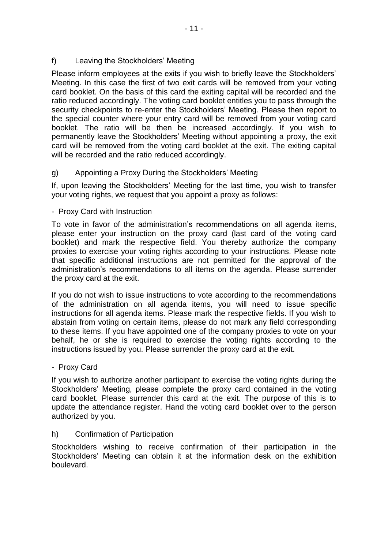# f) Leaving the Stockholders' Meeting

Please inform employees at the exits if you wish to briefly leave the Stockholders' Meeting. In this case the first of two exit cards will be removed from your voting card booklet. On the basis of this card the exiting capital will be recorded and the ratio reduced accordingly. The voting card booklet entitles you to pass through the security checkpoints to re-enter the Stockholders' Meeting. Please then report to the special counter where your entry card will be removed from your voting card booklet. The ratio will be then be increased accordingly. If you wish to permanently leave the Stockholders' Meeting without appointing a proxy, the exit card will be removed from the voting card booklet at the exit. The exiting capital will be recorded and the ratio reduced accordingly.

# g) Appointing a Proxy During the Stockholders' Meeting

If, upon leaving the Stockholders' Meeting for the last time, you wish to transfer your voting rights, we request that you appoint a proxy as follows:

### - Proxy Card with Instruction

To vote in favor of the administration's recommendations on all agenda items, please enter your instruction on the proxy card (last card of the voting card booklet) and mark the respective field. You thereby authorize the company proxies to exercise your voting rights according to your instructions. Please note that specific additional instructions are not permitted for the approval of the administration's recommendations to all items on the agenda. Please surrender the proxy card at the exit.

If you do not wish to issue instructions to vote according to the recommendations of the administration on all agenda items, you will need to issue specific instructions for all agenda items. Please mark the respective fields. If you wish to abstain from voting on certain items, please do not mark any field corresponding to these items. If you have appointed one of the company proxies to vote on your behalf, he or she is required to exercise the voting rights according to the instructions issued by you. Please surrender the proxy card at the exit.

# - Proxy Card

If you wish to authorize another participant to exercise the voting rights during the Stockholders' Meeting, please complete the proxy card contained in the voting card booklet. Please surrender this card at the exit. The purpose of this is to update the attendance register. Hand the voting card booklet over to the person authorized by you.

#### h) Confirmation of Participation

Stockholders wishing to receive confirmation of their participation in the Stockholders' Meeting can obtain it at the information desk on the exhibition boulevard.